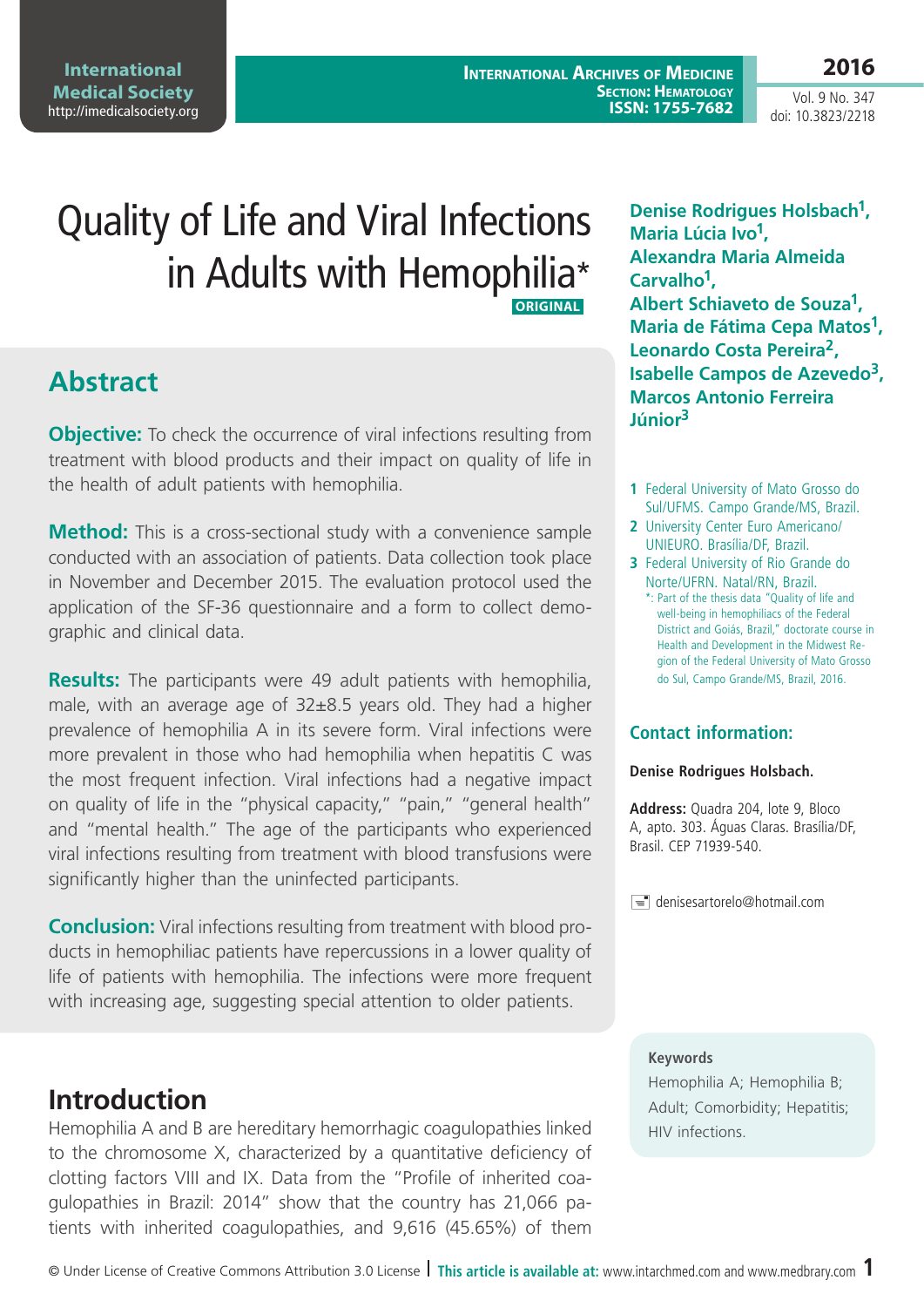**International Medical Society**  <http://imedicalsociety.org>

**International Archives of Medicine Section: Hematology ISSN: 1755-7682** **2016**

Vol. 9 No. 347 doi: 10.3823/2218

# Quality of Life and Viral Infections in Adults with Hemophilia\* **ORIGINAL**

## **Abstract**

**Objective:** To check the occurrence of viral infections resulting from treatment with blood products and their impact on quality of life in the health of adult patients with hemophilia.

**Method:** This is a cross-sectional study with a convenience sample conducted with an association of patients. Data collection took place in November and December 2015. The evaluation protocol used the application of the SF-36 questionnaire and a form to collect demographic and clinical data.

**Results:** The participants were 49 adult patients with hemophilia, male, with an average age of 32±8.5 years old. They had a higher prevalence of hemophilia A in its severe form. Viral infections were more prevalent in those who had hemophilia when hepatitis C was the most frequent infection. Viral infections had a negative impact on quality of life in the "physical capacity," "pain," "general health" and "mental health." The age of the participants who experienced viral infections resulting from treatment with blood transfusions were significantly higher than the uninfected participants.

**Conclusion:** Viral infections resulting from treatment with blood products in hemophiliac patients have repercussions in a lower quality of life of patients with hemophilia. The infections were more frequent with increasing age, suggesting special attention to older patients.

## **Introduction**

Hemophilia A and B are hereditary hemorrhagic coagulopathies linked to the chromosome X, characterized by a quantitative deficiency of clotting factors VIII and IX. Data from the "Profile of inherited coagulopathies in Brazil: 2014" show that the country has 21,066 patients with inherited coagulopathies, and 9,616 (45.65%) of them

**Denise Rodrigues Holsbach1, Maria Lúcia Ivo1, Alexandra Maria Almeida Carvalho1, Albert Schiaveto de Souza1, Maria de Fátima Cepa Matos1, Leonardo Costa Pereira2, Isabelle Campos de Azevedo3, Marcos Antonio Ferreira Júnior3**

- **1** Federal University of Mato Grosso do Sul/UFMS. Campo Grande/MS, Brazil.
- **2** University Center Euro Americano/ UNIEURO. Brasília/DF, Brazil.
- **3** Federal University of Rio Grande do Norte/UFRN. Natal/RN, Brazil. \*: Part of the thesis data "Quality of life and well-being in hemophiliacs of the Federal District and Goiás, Brazil," doctorate course in Health and Development in the Midwest Region of the Federal University of Mato Grosso do Sul, Campo Grande/MS, Brazil, 2016.

#### **Contact information:**

#### **Denise Rodrigues Holsbach.**

**Address:** Quadra 204, lote 9, Bloco A, apto. 303. Águas Claras. Brasília/DF, Brasil. CEP 71939-540.

 $\equiv$  denisesartorelo@hotmail.com

#### **Keywords**

Hemophilia A; Hemophilia B; Adult; Comorbidity; Hepatitis; HIV infections.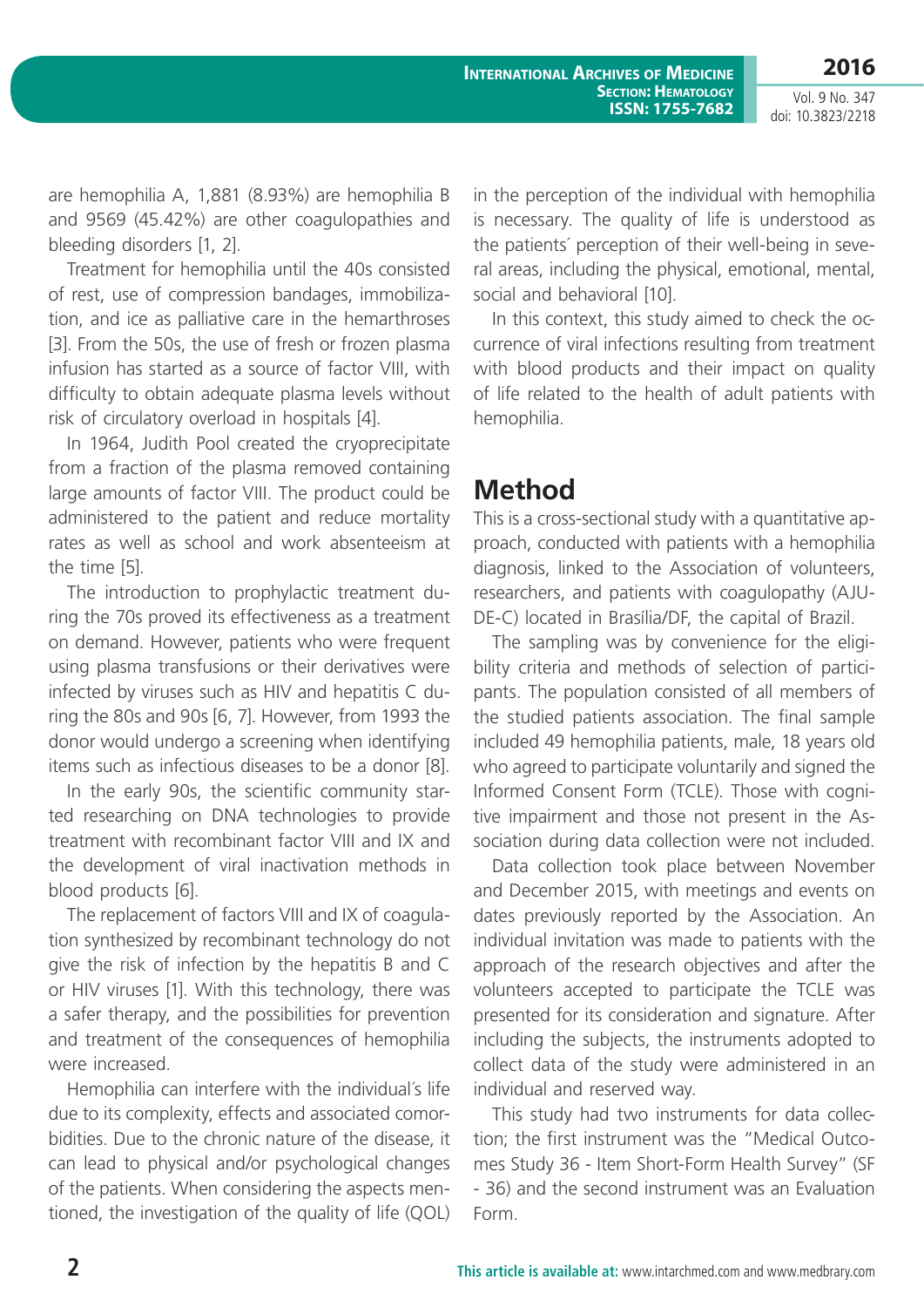**2016**

Vol. 9 No. 347 doi: 10.3823/2218

are hemophilia A, 1,881 (8.93%) are hemophilia B and 9569 (45.42%) are other coagulopathies and bleeding disorders [1, 2].

Treatment for hemophilia until the 40s consisted of rest, use of compression bandages, immobilization, and ice as palliative care in the hemarthroses [3]. From the 50s, the use of fresh or frozen plasma infusion has started as a source of factor VIII, with difficulty to obtain adequate plasma levels without risk of circulatory overload in hospitals [4].

In 1964, Judith Pool created the cryoprecipitate from a fraction of the plasma removed containing large amounts of factor VIII. The product could be administered to the patient and reduce mortality rates as well as school and work absenteeism at the time [5].

The introduction to prophylactic treatment during the 70s proved its effectiveness as a treatment on demand. However, patients who were frequent using plasma transfusions or their derivatives were infected by viruses such as HIV and hepatitis C during the 80s and 90s [6, 7]. However, from 1993 the donor would undergo a screening when identifying items such as infectious diseases to be a donor [8].

In the early 90s, the scientific community started researching on DNA technologies to provide treatment with recombinant factor VIII and IX and the development of viral inactivation methods in blood products [6].

The replacement of factors VIII and IX of coagulation synthesized by recombinant technology do not give the risk of infection by the hepatitis B and C or HIV viruses [1]. With this technology, there was a safer therapy, and the possibilities for prevention and treatment of the consequences of hemophilia were increased.

Hemophilia can interfere with the individual´s life due to its complexity, effects and associated comorbidities. Due to the chronic nature of the disease, it can lead to physical and/or psychological changes of the patients. When considering the aspects mentioned, the investigation of the quality of life (QOL) in the perception of the individual with hemophilia is necessary. The quality of life is understood as the patients´ perception of their well-being in several areas, including the physical, emotional, mental, social and behavioral [10].

In this context, this study aimed to check the occurrence of viral infections resulting from treatment with blood products and their impact on quality of life related to the health of adult patients with hemophilia.

## **Method**

This is a cross-sectional study with a quantitative approach, conducted with patients with a hemophilia diagnosis, linked to the Association of volunteers, researchers, and patients with coagulopathy (AJU-DE-C) located in Brasília/DF, the capital of Brazil.

The sampling was by convenience for the eligibility criteria and methods of selection of participants. The population consisted of all members of the studied patients association. The final sample included 49 hemophilia patients, male, 18 years old who agreed to participate voluntarily and signed the Informed Consent Form (TCLE). Those with cognitive impairment and those not present in the Association during data collection were not included.

Data collection took place between November and December 2015, with meetings and events on dates previously reported by the Association. An individual invitation was made to patients with the approach of the research objectives and after the volunteers accepted to participate the TCLE was presented for its consideration and signature. After including the subjects, the instruments adopted to collect data of the study were administered in an individual and reserved way.

This study had two instruments for data collection; the first instrument was the "Medical Outcomes Study 36 - Item Short-Form Health Survey" (SF - 36) and the second instrument was an Evaluation Form.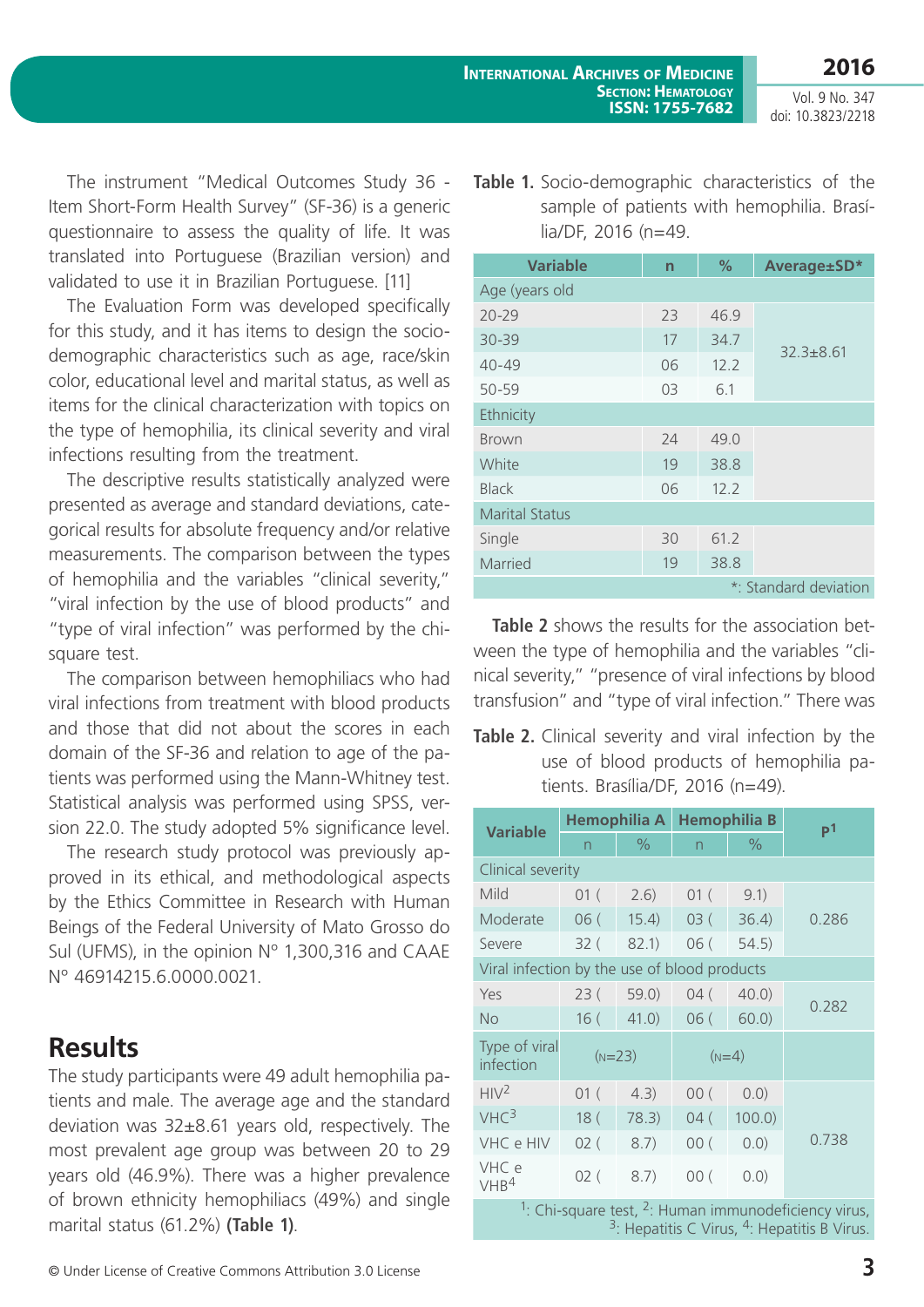Vol. 9 No. 347 doi: 10.3823/2218

The instrument "Medical Outcomes Study 36 - Item Short-Form Health Survey" (SF-36) is a generic questionnaire to assess the quality of life. It was translated into Portuguese (Brazilian version) and validated to use it in Brazilian Portuguese. [11]

The Evaluation Form was developed specifically for this study, and it has items to design the sociodemographic characteristics such as age, race/skin color, educational level and marital status, as well as items for the clinical characterization with topics on the type of hemophilia, its clinical severity and viral infections resulting from the treatment.

The descriptive results statistically analyzed were presented as average and standard deviations, categorical results for absolute frequency and/or relative measurements. The comparison between the types of hemophilia and the variables "clinical severity," "viral infection by the use of blood products" and "type of viral infection" was performed by the chisquare test.

The comparison between hemophiliacs who had viral infections from treatment with blood products and those that did not about the scores in each domain of the SF-36 and relation to age of the patients was performed using the Mann-Whitney test. Statistical analysis was performed using SPSS, version 22.0. The study adopted 5% significance level.

The research study protocol was previously approved in its ethical, and methodological aspects by the Ethics Committee in Research with Human Beings of the Federal University of Mato Grosso do Sul (UFMS), in the opinion N° 1,300,316 and CAAE Nº 46914215.6.0000.0021.

## **Results**

The study participants were 49 adult hemophilia patients and male. The average age and the standard deviation was 32±8.61 years old, respectively. The most prevalent age group was between 20 to 29 years old (46.9%). There was a higher prevalence of brown ethnicity hemophiliacs (49%) and single marital status (61.2%) **(Table 1)**.

**Table 1.** Socio-demographic characteristics of the sample of patients with hemophilia. Brasília/DF, 2016 (n=49.

| <b>Variable</b>       | n  | $\%$ | Average±SD*   |  |  |  |
|-----------------------|----|------|---------------|--|--|--|
| Age (years old        |    |      |               |  |  |  |
| $70 - 79$             | 23 | 46.9 | $32.3 + 8.61$ |  |  |  |
| $30 - 39$             | 17 | 34.7 |               |  |  |  |
| $40 - 49$             | 06 | 12.2 |               |  |  |  |
| 50-59                 | 03 | 6.1  |               |  |  |  |
| Ethnicity             |    |      |               |  |  |  |
| <b>Brown</b>          | 24 | 49.0 |               |  |  |  |
| White                 | 19 | 38.8 |               |  |  |  |
| <b>Black</b>          | 06 | 12.2 |               |  |  |  |
| <b>Marital Status</b> |    |      |               |  |  |  |
| Single                | 30 | 61.2 |               |  |  |  |
| Married               | 19 | 38.8 |               |  |  |  |
| *: Standard deviation |    |      |               |  |  |  |

**Table 2** shows the results for the association between the type of hemophilia and the variables "clinical severity," "presence of viral infections by blood transfusion" and "type of viral infection." There was

**Table 2.** Clinical severity and viral infection by the use of blood products of hemophilia patients. Brasília/DF, 2016 (n=49).

| <b>Variable</b>                                        | Hemophilia A    |               | <b>Hemophilia B</b> |               | P <sup>1</sup> |  |  |
|--------------------------------------------------------|-----------------|---------------|---------------------|---------------|----------------|--|--|
|                                                        | $\overline{n}$  | $\frac{1}{2}$ | $\overline{n}$      | $\frac{0}{0}$ |                |  |  |
| Clinical severity                                      |                 |               |                     |               |                |  |  |
| Mild                                                   | 01(             | 2.6)          | 01(                 | 9.1)          |                |  |  |
| Moderate                                               | 06(             | 15.4)         | 03(                 | 36.4)         | 0.286          |  |  |
| Severe                                                 | 32(             | 82.1)         | 06(                 | 54.5)         |                |  |  |
| Viral infection by the use of blood products           |                 |               |                     |               |                |  |  |
| Yes                                                    | 23(             | 59.0          | 04(                 | $40.0$ )      | 0.282          |  |  |
| <b>No</b>                                              | 16(             | $41.0$ )      | 06(                 | 60.0          |                |  |  |
| Type of viral<br>infection                             | $(N=23)$        |               | $(N=4)$             |               |                |  |  |
| HIV <sup>2</sup>                                       | 01(             | 4.3)          | 00(                 | (0.0)         |                |  |  |
| VHC <sup>3</sup>                                       | 18 <sup>7</sup> | 78.3)         | 04(                 | $100.0$ )     |                |  |  |
| VHC e HIV                                              | 02(             | 8.7)          | 00(                 | (0.0)         | 0.738          |  |  |
| VHC e<br>VHB <sup>4</sup>                              | 02(             | 8.7)          | 00(                 | (0.0)         |                |  |  |
| $1.$ Chi-square test $2.$ Human immunodeficiency virus |                 |               |                     |               |                |  |  |

<sup>1</sup>: Chi-square test, <sup>2</sup>: Human immunodeficiency virus,  $3$ : Hepatitis C Virus,  $4$ : Hepatitis B Virus.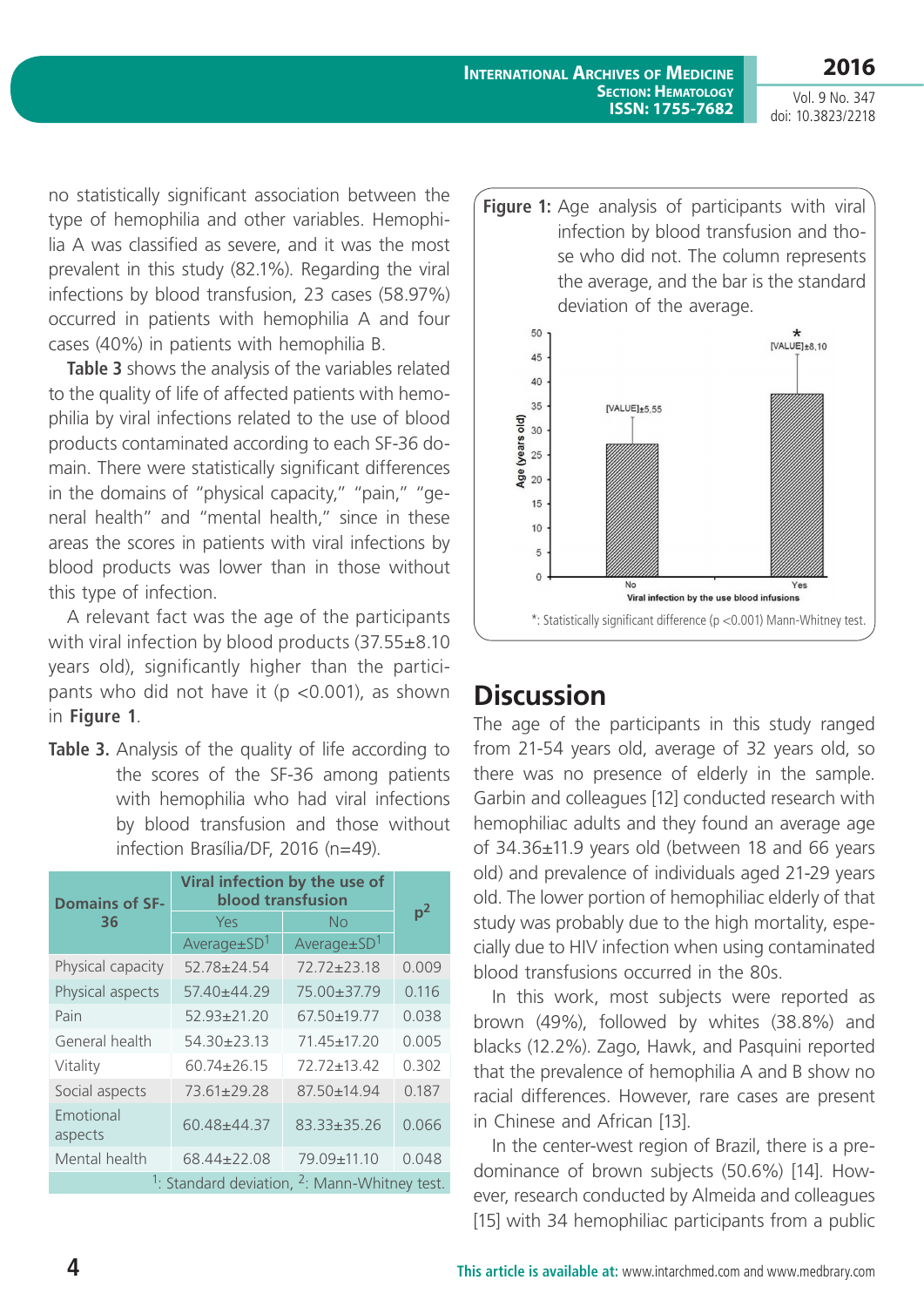**International Archives of Medicine Section: Hematology ISSN: 1755-7682**

Vol. 9 No. 347 doi: 10.3823/2218

**2016**

no statistically significant association between the type of hemophilia and other variables. Hemophilia A was classified as severe, and it was the most prevalent in this study (82.1%). Regarding the viral infections by blood transfusion, 23 cases (58.97%) occurred in patients with hemophilia A and four cases (40%) in patients with hemophilia B.

**Table 3** shows the analysis of the variables related to the quality of life of affected patients with hemophilia by viral infections related to the use of blood products contaminated according to each SF-36 domain. There were statistically significant differences in the domains of "physical capacity," "pain," "general health" and "mental health," since in these areas the scores in patients with viral infections by blood products was lower than in those without this type of infection.

A relevant fact was the age of the participants with viral infection by blood products (37.55±8.10 years old), significantly higher than the participants who did not have it (p <0.001), as shown **Discussion**<br>in **Figure 1**. **Discussion** 

Table 3. Analysis of the quality of life according to the scores of the SF-36 among patients with hemophilia who had viral infections by blood transfusion and those without infection Brasília/DF, 2016 (n=49).

| <b>Domains of SF-</b>                                                | Viral infection by the use of<br><b>blood transfusion</b> |                    |                |  |  |  |
|----------------------------------------------------------------------|-----------------------------------------------------------|--------------------|----------------|--|--|--|
| 36                                                                   | Yes                                                       | No                 | p <sup>2</sup> |  |  |  |
|                                                                      | $Average \pm SD^1$                                        | $Average \pm SD^1$ |                |  |  |  |
| Physical capacity                                                    | $52.78 \pm 24.54$                                         | $72.72 + 23.18$    | 0.009          |  |  |  |
| Physical aspects                                                     | $5740+44.29$                                              | 75.00±37.79        | 0.116          |  |  |  |
| Pain                                                                 | $52.93 \pm 21.20$                                         | 67.50+19.77        | 0.038          |  |  |  |
| General health                                                       | $54.30 \pm 23.13$                                         | 71.45±17.20        | 0.005          |  |  |  |
| Vitality                                                             | $60.74 + 26.15$                                           | $72.72 + 13.42$    | 0.302          |  |  |  |
| Social aspects                                                       | 73.61+29.28                                               | 87.50+14.94        | 0.187          |  |  |  |
| Emotional<br>aspects                                                 | 60.48+44.37                                               | $83.33 \pm 35.26$  | 0.066          |  |  |  |
| Mental health                                                        | 68.44±22.08                                               | 79.09±11.10        | 0.048          |  |  |  |
| <sup>1</sup> : Standard deviation, <sup>2</sup> : Mann-Whitney test. |                                                           |                    |                |  |  |  |



The age of the participants in this study ranged from 21-54 years old, average of 32 years old, so there was no presence of elderly in the sample. Garbin and colleagues [12] conducted research with hemophiliac adults and they found an average age of 34.36±11.9 years old (between 18 and 66 years old) and prevalence of individuals aged 21-29 years old. The lower portion of hemophiliac elderly of that study was probably due to the high mortality, especially due to HIV infection when using contaminated blood transfusions occurred in the 80s.

In this work, most subjects were reported as brown (49%), followed by whites (38.8%) and blacks (12.2%). Zago, Hawk, and Pasquini reported that the prevalence of hemophilia A and B show no racial differences. However, rare cases are present in Chinese and African [13].

In the center-west region of Brazil, there is a predominance of brown subjects (50.6%) [14]. However, research conducted by Almeida and colleagues [15] with 34 hemophiliac participants from a public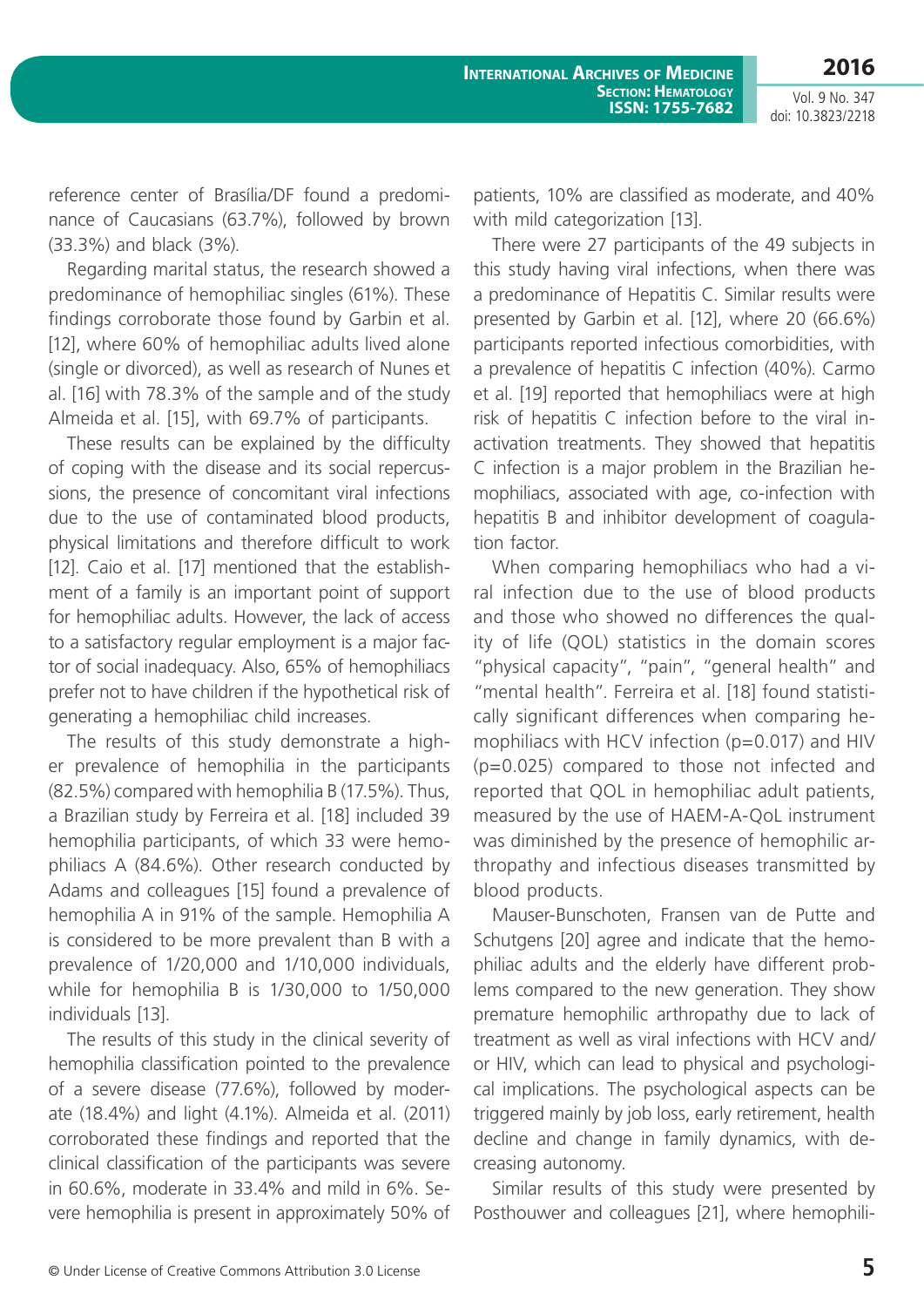Vol. 9 No. 347 doi: 10.3823/2218

reference center of Brasília/DF found a predominance of Caucasians (63.7%), followed by brown (33.3%) and black (3%).

Regarding marital status, the research showed a predominance of hemophiliac singles (61%). These findings corroborate those found by Garbin et al. [12], where 60% of hemophiliac adults lived alone (single or divorced), as well as research of Nunes et al. [16] with 78.3% of the sample and of the study Almeida et al. [15], with 69.7% of participants.

These results can be explained by the difficulty of coping with the disease and its social repercussions, the presence of concomitant viral infections due to the use of contaminated blood products, physical limitations and therefore difficult to work [12]. Caio et al. [17] mentioned that the establishment of a family is an important point of support for hemophiliac adults. However, the lack of access to a satisfactory regular employment is a major factor of social inadequacy. Also, 65% of hemophiliacs prefer not to have children if the hypothetical risk of generating a hemophiliac child increases.

The results of this study demonstrate a higher prevalence of hemophilia in the participants (82.5%) compared with hemophilia B (17.5%). Thus, a Brazilian study by Ferreira et al. [18] included 39 hemophilia participants, of which 33 were hemophiliacs A (84.6%). Other research conducted by Adams and colleagues [15] found a prevalence of hemophilia A in 91% of the sample. Hemophilia A is considered to be more prevalent than B with a prevalence of 1/20,000 and 1/10,000 individuals, while for hemophilia B is 1/30,000 to 1/50,000 individuals [13].

The results of this study in the clinical severity of hemophilia classification pointed to the prevalence of a severe disease (77.6%), followed by moderate (18.4%) and light (4.1%). Almeida et al. (2011) corroborated these findings and reported that the clinical classification of the participants was severe in 60.6%, moderate in 33.4% and mild in 6%. Severe hemophilia is present in approximately 50% of

patients, 10% are classified as moderate, and 40% with mild categorization [13].

There were 27 participants of the 49 subjects in this study having viral infections, when there was a predominance of Hepatitis C. Similar results were presented by Garbin et al. [12], where 20 (66.6%) participants reported infectious comorbidities, with a prevalence of hepatitis C infection (40%). Carmo et al. [19] reported that hemophiliacs were at high risk of hepatitis C infection before to the viral inactivation treatments. They showed that hepatitis C infection is a major problem in the Brazilian hemophiliacs, associated with age, co-infection with hepatitis B and inhibitor development of coagulation factor.

When comparing hemophiliacs who had a viral infection due to the use of blood products and those who showed no differences the quality of life (QOL) statistics in the domain scores "physical capacity", "pain", "general health" and "mental health". Ferreira et al. [18] found statistically significant differences when comparing hemophiliacs with HCV infection (p=0.017) and HIV (p=0.025) compared to those not infected and reported that QOL in hemophiliac adult patients, measured by the use of HAEM-A-QoL instrument was diminished by the presence of hemophilic arthropathy and infectious diseases transmitted by blood products.

Mauser-Bunschoten, Fransen van de Putte and Schutgens [20] agree and indicate that the hemophiliac adults and the elderly have different problems compared to the new generation. They show premature hemophilic arthropathy due to lack of treatment as well as viral infections with HCV and/ or HIV, which can lead to physical and psychological implications. The psychological aspects can be triggered mainly by job loss, early retirement, health decline and change in family dynamics, with decreasing autonomy.

Similar results of this study were presented by Posthouwer and colleagues [21], where hemophili-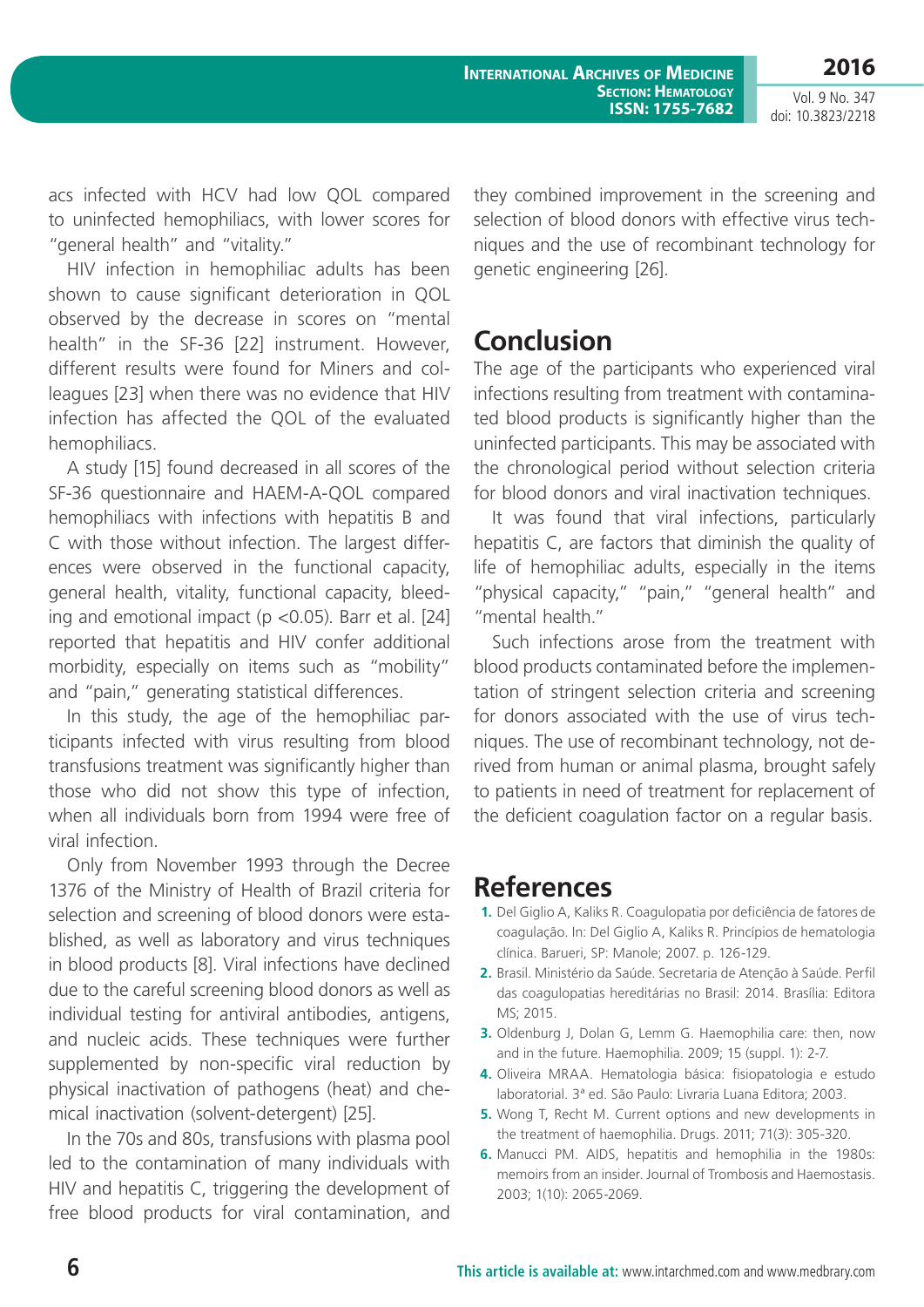**International Archives of Medicine Section: Hematology ISSN: 1755-7682**

Vol. 9 No. 347 doi: 10.3823/2218

acs infected with HCV had low QOL compared to uninfected hemophiliacs, with lower scores for "general health" and "vitality."

HIV infection in hemophiliac adults has been shown to cause significant deterioration in QOL observed by the decrease in scores on "mental health" in the SF-36 [22] instrument. However, different results were found for Miners and colleagues [23] when there was no evidence that HIV infection has affected the QOL of the evaluated hemophiliacs.

A study [15] found decreased in all scores of the SF-36 questionnaire and HAEM-A-QOL compared hemophiliacs with infections with hepatitis B and C with those without infection. The largest differences were observed in the functional capacity, general health, vitality, functional capacity, bleeding and emotional impact ( $p$  <0.05). Barr et al. [24] reported that hepatitis and HIV confer additional morbidity, especially on items such as "mobility" and "pain," generating statistical differences.

In this study, the age of the hemophiliac participants infected with virus resulting from blood transfusions treatment was significantly higher than those who did not show this type of infection, when all individuals born from 1994 were free of viral infection.

Only from November 1993 through the Decree 1376 of the Ministry of Health of Brazil criteria for selection and screening of blood donors were established, as well as laboratory and virus techniques in blood products [8]. Viral infections have declined due to the careful screening blood donors as well as individual testing for antiviral antibodies, antigens, and nucleic acids. These techniques were further supplemented by non-specific viral reduction by physical inactivation of pathogens (heat) and chemical inactivation (solvent-detergent) [25].

In the 70s and 80s, transfusions with plasma pool led to the contamination of many individuals with HIV and hepatitis C, triggering the development of free blood products for viral contamination, and they combined improvement in the screening and selection of blood donors with effective virus techniques and the use of recombinant technology for genetic engineering [26].

## **Conclusion**

The age of the participants who experienced viral infections resulting from treatment with contaminated blood products is significantly higher than the uninfected participants. This may be associated with the chronological period without selection criteria for blood donors and viral inactivation techniques.

It was found that viral infections, particularly hepatitis C, are factors that diminish the quality of life of hemophiliac adults, especially in the items "physical capacity," "pain," "general health" and "mental health."

Such infections arose from the treatment with blood products contaminated before the implementation of stringent selection criteria and screening for donors associated with the use of virus techniques. The use of recombinant technology, not derived from human or animal plasma, brought safely to patients in need of treatment for replacement of the deficient coagulation factor on a regular basis.

## **References**

- **1.** Del Giglio A, Kaliks R. Coagulopatia por deficiência de fatores de coagulação. In: Del Giglio A, Kaliks R. Princípios de hematologia clínica. Barueri, SP: Manole; 2007. p. 126-129.
- **2.** Brasil. Ministério da Saúde. Secretaria de Atenção à Saúde. Perfil das coagulopatias hereditárias no Brasil: 2014. Brasília: Editora MS; 2015.
- **3.** Oldenburg J, Dolan G, Lemm G. Haemophilia care: then, now and in the future. Haemophilia. 2009; 15 (suppl. 1): 2-7.
- **4.** Oliveira MRAA. Hematologia básica: fisiopatologia e estudo laboratorial. 3ª ed. São Paulo: Livraria Luana Editora; 2003.
- **5.** Wong T, Recht M. Current options and new developments in the treatment of haemophilia. Drugs. 2011; 71(3): 305-320.
- **6.** Manucci PM. AIDS, hepatitis and hemophilia in the 1980s: memoirs from an insider. Journal of Trombosis and Haemostasis. 2003; 1(10): 2065-2069.